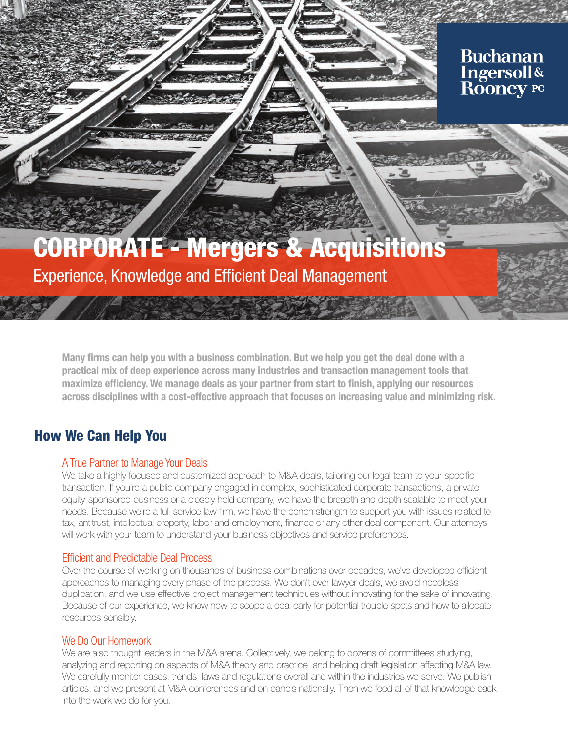### **Buchanan Ingersoll& Rooney PC**

# CORPORATE - Mergers & Acquisitions

Experience, Knowledge and Efficient Deal Management

Many firms can help you with a business combination. But we help you get the deal done with a practical mix of deep experience across many industries and transaction management tools that maximize efficiency. We manage deals as your partner from start to finish, applying our resources across disciplines with a cost-effective approach that focuses on increasing value and minimizing risk.

### How We Can Help You

### A True Partner to Manage Your Deals

We take a highly focused and customized approach to M&A deals, tailoring our legal team to your specific transaction. If you're a public company engaged in complex, sophisticated corporate transactions, a private equity-sponsored business or a closely held company, we have the breadth and depth scalable to meet your needs. Because we're a full-service law firm, we have the bench strength to support you with issues related to tax, antitrust, intellectual property, labor and employment, finance or any other deal component. Our attorneys will work with your team to understand your business objectives and service preferences.

### Efficient and Predictable Deal Process

Over the course of working on thousands of business combinations over decades, we've developed efficient approaches to managing every phase of the process. We don't over-lawyer deals, we avoid needless duplication, and we use effective project management techniques without innovating for the sake of innovating. Because of our experience, we know how to scope a deal early for potential trouble spots and how to allocate resources sensibly.

### We Do Our Homework

We are also thought leaders in the M&A arena. Collectively, we belong to dozens of committees studying, analyzing and reporting on aspects of M&A theory and practice, and helping draft legislation affecting M&A law. We carefully monitor cases, trends, laws and regulations overall and within the industries we serve. We publish articles, and we present at M&A conferences and on panels nationally. Then we feed all of that knowledge back into the work we do for you.